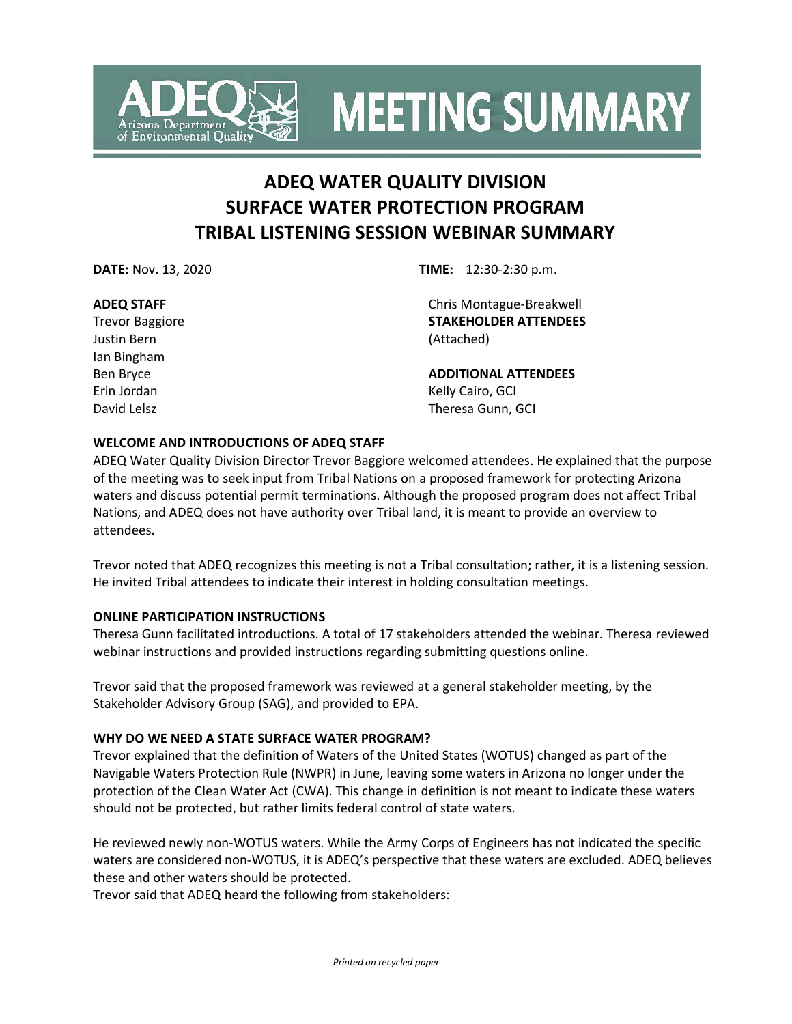

**MEETING SUMMARY** 

# **ADEQ WATER QUALITY DIVISION SURFACE WATER PROTECTION PROGRAM TRIBAL LISTENING SESSION WEBINAR SUMMARY**

### **ADEQ STAFF**

Trevor Baggiore Justin Bern Ian Bingham Ben Bryce Erin Jordan David Lelsz

**DATE:** Nov. 13, 2020 **TIME:** 12:30-2:30 p.m.

Chris Montague-Breakwell **STAKEHOLDER ATTENDEES**  (Attached)

**ADDITIONAL ATTENDEES** Kelly Cairo, GCI Theresa Gunn, GCI

### **WELCOME AND INTRODUCTIONS OF ADEQ STAFF**

ADEQ Water Quality Division Director Trevor Baggiore welcomed attendees. He explained that the purpose of the meeting was to seek input from Tribal Nations on a proposed framework for protecting Arizona waters and discuss potential permit terminations. Although the proposed program does not affect Tribal Nations, and ADEQ does not have authority over Tribal land, it is meant to provide an overview to attendees.

Trevor noted that ADEQ recognizes this meeting is not a Tribal consultation; rather, it is a listening session. He invited Tribal attendees to indicate their interest in holding consultation meetings.

### **ONLINE PARTICIPATION INSTRUCTIONS**

Theresa Gunn facilitated introductions. A total of 17 stakeholders attended the webinar. Theresa reviewed webinar instructions and provided instructions regarding submitting questions online.

Trevor said that the proposed framework was reviewed at a general stakeholder meeting, by the Stakeholder Advisory Group (SAG), and provided to EPA.

### **WHY DO WE NEED A STATE SURFACE WATER PROGRAM?**

Trevor explained that the definition of Waters of the United States (WOTUS) changed as part of the Navigable Waters Protection Rule (NWPR) in June, leaving some waters in Arizona no longer under the protection of the Clean Water Act (CWA). This change in definition is not meant to indicate these waters should not be protected, but rather limits federal control of state waters.

He reviewed newly non-WOTUS waters. While the Army Corps of Engineers has not indicated the specific waters are considered non-WOTUS, it is ADEQ's perspective that these waters are excluded. ADEQ believes these and other waters should be protected.

Trevor said that ADEQ heard the following from stakeholders: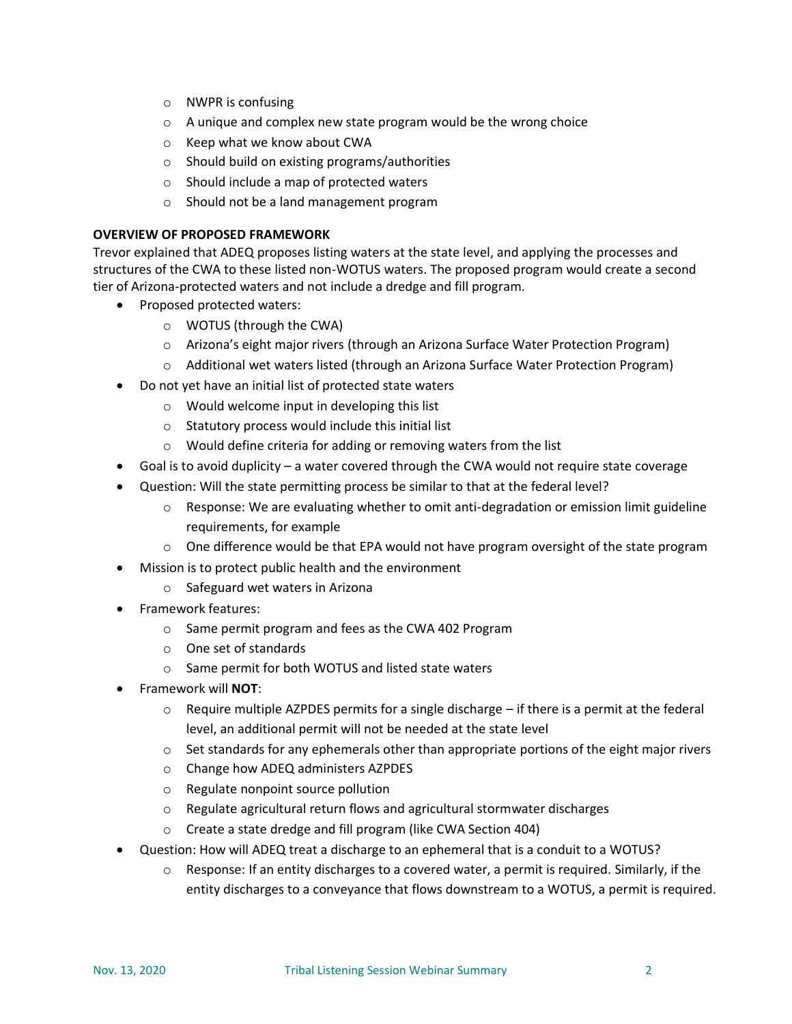- o NWPR is confusing
- o A unique and complex new state program would be the wrong choice
- o Keep what we know about CWA
- o Should build on existing programs/authorities
- o Should include a map of protected waters
- o Should not be a land management program

### **OVERVIEW OF PROPOSED FRAMEWORK**

Trevor explained that ADEQ proposes listing waters at the state level, and applying the processes and structures of the CWA to these listed non-WOTUS waters. The proposed program would create a second tier of Arizona-protected waters and not include a dredge and fill program.

- Proposed protected waters:
	- o WOTUS (through the CWA)
	- o Arizona's eight major rivers (through an Arizona Surface Water Protection Program)
	- o Additional wet waters listed (through an Arizona Surface Water Protection Program)
- Do not yet have an initial list of protected state waters
	- o Would welcome input in developing this list
	- o Statutory process would include this initial list
	- o Would define criteria for adding or removing waters from the list
- Goal is to avoid duplicity a water covered through the CWA would not require state coverage
- Question: Will the state permitting process be similar to that at the federal level?
	- $\circ$  Response: We are evaluating whether to omit anti-degradation or emission limit guideline requirements, for example
	- $\circ$  One difference would be that EPA would not have program oversight of the state program
- Mission is to protect public health and the environment
	- o Safeguard wet waters in Arizona
- Framework features:
	- o Same permit program and fees as the CWA 402 Program
	- o One set of standards
	- o Same permit for both WOTUS and listed state waters
- Framework will **NOT**:
	- $\circ$  Require multiple AZPDES permits for a single discharge if there is a permit at the federal level, an additional permit will not be needed at the state level
	- $\circ$  Set standards for any ephemerals other than appropriate portions of the eight major rivers
	- o Change how ADEQ administers AZPDES
	- o Regulate nonpoint source pollution
	- o Regulate agricultural return flows and agricultural stormwater discharges
	- o Create a state dredge and fill program (like CWA Section 404)
- Question: How will ADEQ treat a discharge to an ephemeral that is a conduit to a WOTUS?
	- $\circ$  Response: If an entity discharges to a covered water, a permit is required. Similarly, if the entity discharges to a conveyance that flows downstream to a WOTUS, a permit is required.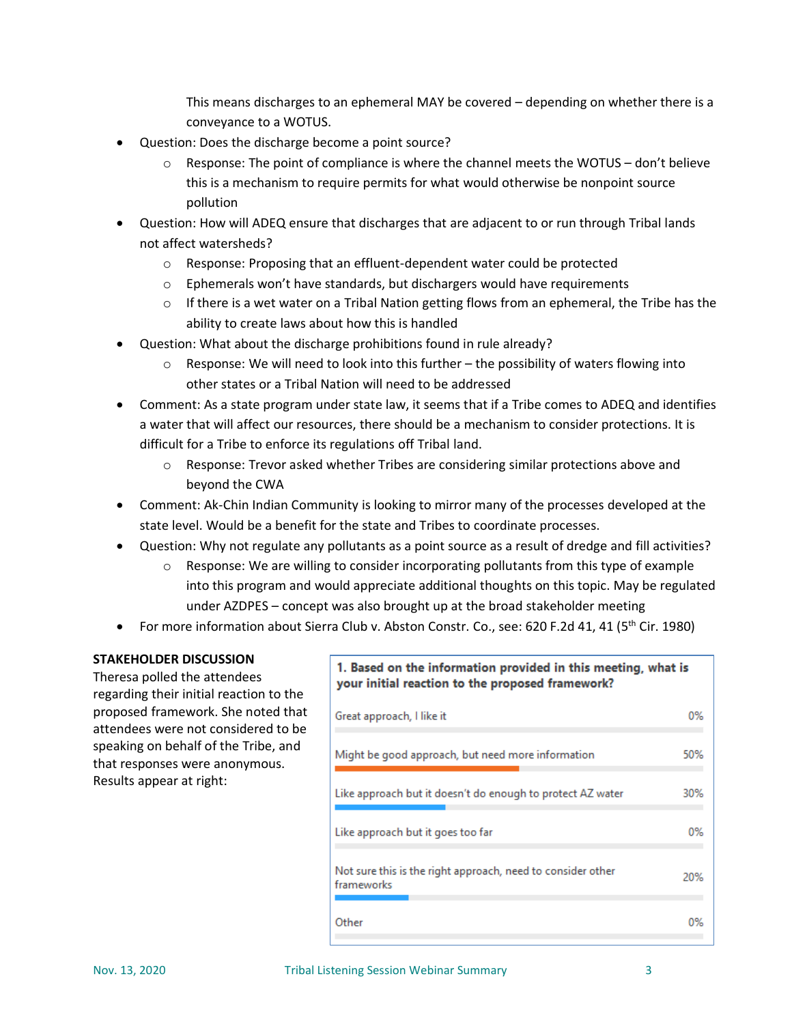This means discharges to an ephemeral MAY be covered – depending on whether there is a conveyance to a WOTUS.

- Question: Does the discharge become a point source?
	- $\circ$  Response: The point of compliance is where the channel meets the WOTUS don't believe this is a mechanism to require permits for what would otherwise be nonpoint source pollution
- Question: How will ADEQ ensure that discharges that are adjacent to or run through Tribal lands not affect watersheds?
	- o Response: Proposing that an effluent-dependent water could be protected
	- o Ephemerals won't have standards, but dischargers would have requirements
	- $\circ$  If there is a wet water on a Tribal Nation getting flows from an ephemeral, the Tribe has the ability to create laws about how this is handled
- Question: What about the discharge prohibitions found in rule already?
	- $\circ$  Response: We will need to look into this further the possibility of waters flowing into other states or a Tribal Nation will need to be addressed
- Comment: As a state program under state law, it seems that if a Tribe comes to ADEQ and identifies a water that will affect our resources, there should be a mechanism to consider protections. It is difficult for a Tribe to enforce its regulations off Tribal land.
	- $\circ$  Response: Trevor asked whether Tribes are considering similar protections above and beyond the CWA
- Comment: Ak-Chin Indian Community is looking to mirror many of the processes developed at the state level. Would be a benefit for the state and Tribes to coordinate processes.
- Question: Why not regulate any pollutants as a point source as a result of dredge and fill activities?
	- o Response: We are willing to consider incorporating pollutants from this type of example into this program and would appreciate additional thoughts on this topic. May be regulated under AZDPES – concept was also brought up at the broad stakeholder meeting
- For more information about Sierra Club v. Abston Constr. Co., see: 620 F.2d 41, 41 (5<sup>th</sup> Cir. 1980)

### **STAKEHOLDER DISCUSSION**

Theresa polled the attendees regarding their initial reaction to the proposed framework. She noted that attendees were not considered to be speaking on behalf of the Tribe, and that responses were anonymous. Results appear at right:

## 1. Based on the information provided in this meeting, what is your initial reaction to the proposed framework?

| Great approach, I like it                                                 | 0%  |
|---------------------------------------------------------------------------|-----|
| Might be good approach, but need more information                         | 50% |
| Like approach but it doesn't do enough to protect AZ water                | 30% |
| Like approach but it goes too far                                         | 0%  |
| Not sure this is the right approach, need to consider other<br>frameworks | 20% |
| Other                                                                     | 0%  |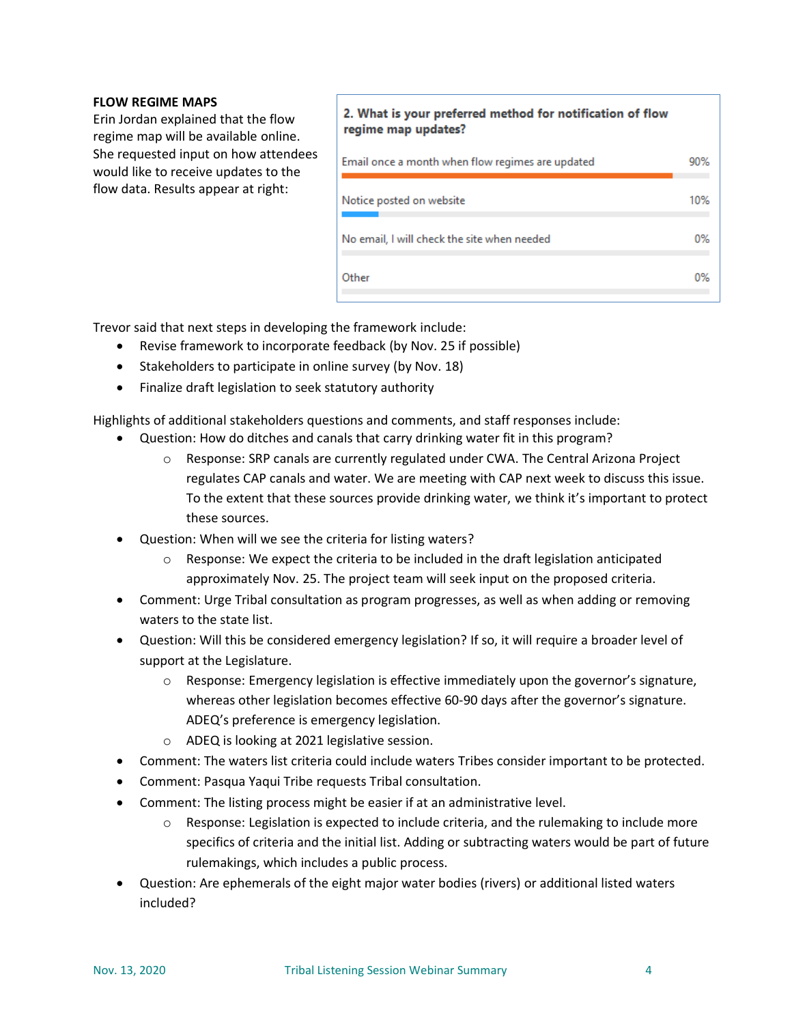### **FLOW REGIME MAPS**

Erin Jordan explained that the flow regime map will be available online. She requested input on how attendees would like to receive updates to the flow data. Results appear at right:

### 2. What is your preferred method for notification of flow regime map updates?

| Email once a month when flow regimes are updated | 90% |
|--------------------------------------------------|-----|
| Notice posted on website                         | 10% |
| No email, I will check the site when needed      | 0%  |
| Other                                            | 0%  |

Trevor said that next steps in developing the framework include:

- Revise framework to incorporate feedback (by Nov. 25 if possible)
- Stakeholders to participate in online survey (by Nov. 18)
- Finalize draft legislation to seek statutory authority

Highlights of additional stakeholders questions and comments, and staff responses include:

- Question: How do ditches and canals that carry drinking water fit in this program?
	- o Response: SRP canals are currently regulated under CWA. The Central Arizona Project regulates CAP canals and water. We are meeting with CAP next week to discuss this issue. To the extent that these sources provide drinking water, we think it's important to protect these sources.
- Question: When will we see the criteria for listing waters?
	- $\circ$  Response: We expect the criteria to be included in the draft legislation anticipated approximately Nov. 25. The project team will seek input on the proposed criteria.
- Comment: Urge Tribal consultation as program progresses, as well as when adding or removing waters to the state list.
- Question: Will this be considered emergency legislation? If so, it will require a broader level of support at the Legislature.
	- o Response: Emergency legislation is effective immediately upon the governor's signature, whereas other legislation becomes effective 60-90 days after the governor's signature. ADEQ's preference is emergency legislation.
	- o ADEQ is looking at 2021 legislative session.
- Comment: The waters list criteria could include waters Tribes consider important to be protected.
- Comment: Pasqua Yaqui Tribe requests Tribal consultation.
- Comment: The listing process might be easier if at an administrative level.
	- o Response: Legislation is expected to include criteria, and the rulemaking to include more specifics of criteria and the initial list. Adding or subtracting waters would be part of future rulemakings, which includes a public process.
- Question: Are ephemerals of the eight major water bodies (rivers) or additional listed waters included?